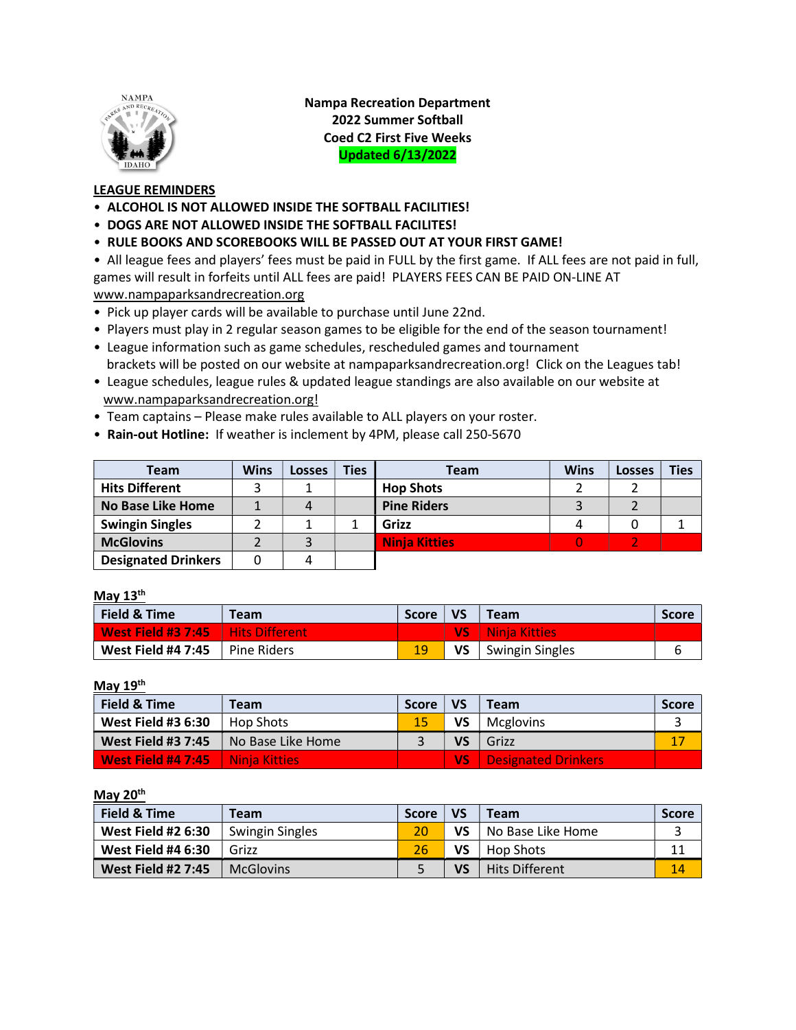

Nampa Recreation Department 2022 Summer Softball Coed C2 First Five Weeks Updated 6/13/2022

## LEAGUE REMINDERS

- ALCOHOL IS NOT ALLOWED INSIDE THE SOFTBALL FACILITIES!
- DOGS ARE NOT ALLOWED INSIDE THE SOFTBALL FACILITES!
- RULE BOOKS AND SCOREBOOKS WILL BE PASSED OUT AT YOUR FIRST GAME!

• All league fees and players' fees must be paid in FULL by the first game. If ALL fees are not paid in full, games will result in forfeits until ALL fees are paid! PLAYERS FEES CAN BE PAID ON-LINE AT www.nampaparksandrecreation.org

- Pick up player cards will be available to purchase until June 22nd.
- Players must play in 2 regular season games to be eligible for the end of the season tournament!
- League information such as game schedules, rescheduled games and tournament brackets will be posted on our website at nampaparksandrecreation.org! Click on the Leagues tab!
- League schedules, league rules & updated league standings are also available on our website at www.nampaparksandrecreation.org!
- Team captains Please make rules available to ALL players on your roster.
- Rain-out Hotline: If weather is inclement by 4PM, please call 250-5670

| Team                       | Wins | Losses | <b>Ties</b> | <b>Team</b>          | <b>Wins</b> | <b>Losses</b> | <b>Ties</b> |
|----------------------------|------|--------|-------------|----------------------|-------------|---------------|-------------|
| <b>Hits Different</b>      |      |        |             | <b>Hop Shots</b>     |             |               |             |
| <b>No Base Like Home</b>   |      |        |             | <b>Pine Riders</b>   |             |               |             |
| <b>Swingin Singles</b>     |      |        |             | Grizz                |             |               |             |
| <b>McGlovins</b>           |      |        |             | <b>Ninja Kitties</b> |             |               |             |
| <b>Designated Drinkers</b> |      |        |             |                      |             |               |             |

## May 13<sup>th</sup>

| Field & Time                        | <b>Team</b>   | Score | ∣ vs | <b>Team</b>        | <b>Score</b> |
|-------------------------------------|---------------|-------|------|--------------------|--------------|
| West Field #3 7:45   Hits Different |               |       |      | VS   Ninia Kitties |              |
| <b>West Field #4 7:45</b>           | I Pine Riders | 19    | VS   | Swingin Singles    | ь            |

May 19<sup>th</sup>

| Field & Time              | Team                   | <b>Score</b> | <b>VS</b> | <b>Team</b>         | <b>Score</b> |
|---------------------------|------------------------|--------------|-----------|---------------------|--------------|
| <b>West Field #3 6:30</b> | Hop Shots              |              | VS        | Mcglovins           |              |
| <b>West Field #3 7:45</b> | No Base Like Home      |              | <b>VS</b> | Grizz               | 17           |
| West Field #4 7:45        | <b>L</b> Ninia Kitties |              | WS        | Designated Drinkers |              |

May 20<sup>th</sup> i<br>L

| <b>Field &amp; Time</b>   | Team                   | <b>Score</b> | <b>VS</b> | <b>Team</b>           | <b>Score</b> |
|---------------------------|------------------------|--------------|-----------|-----------------------|--------------|
| <b>West Field #2 6:30</b> | <b>Swingin Singles</b> | 20           | VS        | No Base Like Home     |              |
| <b>West Field #4 6:30</b> | Grizz                  | 26           | VS        | <b>Hop Shots</b>      |              |
| <b>West Field #2 7:45</b> | <b>McGlovins</b>       |              | VS        | <b>Hits Different</b> | 14           |